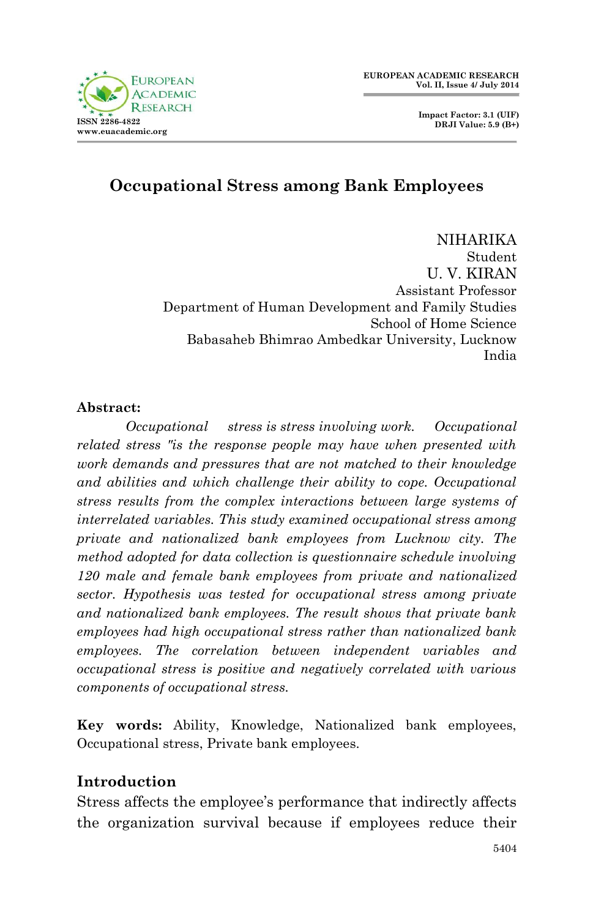

 **Impact Factor: 3.1 (UIF) DRJI Value: 5.9 (B+)**

# **Occupational Stress among Bank Employees**

NIHARIKA Student U. V. KIRAN Assistant Professor Department of Human Development and Family Studies School of Home Science Babasaheb Bhimrao Ambedkar University, Lucknow India

#### **Abstract:**

*Occupational stress is stress involving work. Occupational related stress "is the response people may have when presented with work demands and pressures that are not matched to their knowledge and abilities and which challenge their ability to cope. Occupational stress results from the complex interactions between large systems of interrelated variables. This study examined occupational stress among private and nationalized bank employees from Lucknow city. The method adopted for data collection is questionnaire schedule involving 120 male and female bank employees from private and nationalized sector. Hypothesis was tested for occupational stress among private and nationalized bank employees. The result shows that private bank employees had high occupational stress rather than nationalized bank employees. The correlation between independent variables and occupational stress is positive and negatively correlated with various components of occupational stress.*

**Key words:** Ability, Knowledge, Nationalized bank employees, Occupational stress, Private bank employees.

### **Introduction**

Stress affects the employee's performance that indirectly affects the organization survival because if employees reduce their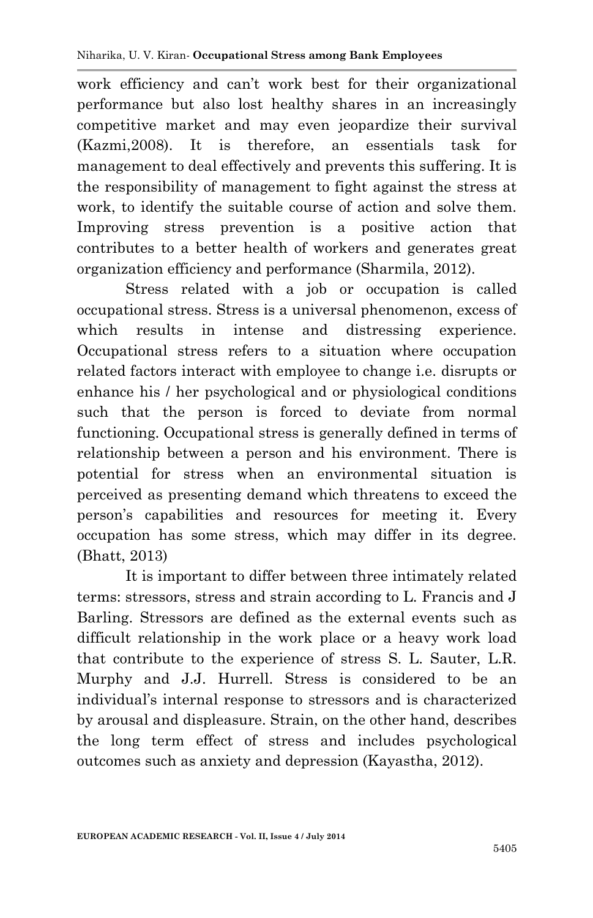work efficiency and can't work best for their organizational performance but also lost healthy shares in an increasingly competitive market and may even jeopardize their survival (Kazmi,2008). It is therefore, an essentials task for management to deal effectively and prevents this suffering. It is the responsibility of management to fight against the stress at work, to identify the suitable course of action and solve them. Improving stress prevention is a positive action that contributes to a better health of workers and generates great organization efficiency and performance (Sharmila, 2012).

Stress related with a job or occupation is called occupational stress. Stress is a universal phenomenon, excess of which results in intense and distressing experience. Occupational stress refers to a situation where occupation related factors interact with employee to change i.e. disrupts or enhance his / her psychological and or physiological conditions such that the person is forced to deviate from normal functioning. Occupational stress is generally defined in terms of relationship between a person and his environment. There is potential for stress when an environmental situation is perceived as presenting demand which threatens to exceed the person's capabilities and resources for meeting it. Every occupation has some stress, which may differ in its degree. (Bhatt, 2013)

It is important to differ between three intimately related terms: stressors, stress and strain according to L. Francis and J Barling. Stressors are defined as the external events such as difficult relationship in the work place or a heavy work load that contribute to the experience of stress S. L. Sauter, L.R. Murphy and J.J. Hurrell. Stress is considered to be an individual's internal response to stressors and is characterized by arousal and displeasure. Strain, on the other hand, describes the long term effect of stress and includes psychological outcomes such as anxiety and depression (Kayastha, 2012).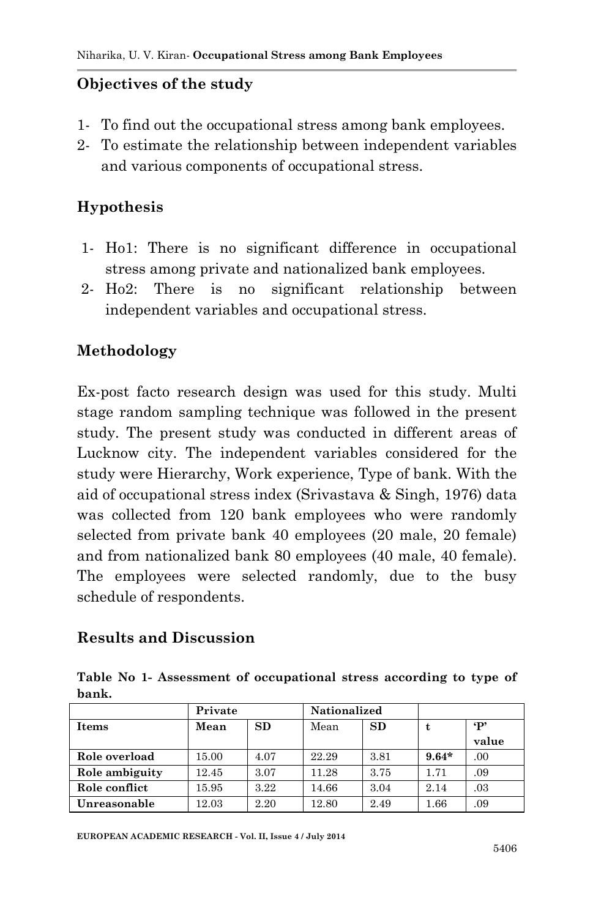#### **Objectives of the study**

- 1- To find out the occupational stress among bank employees.
- 2- To estimate the relationship between independent variables and various components of occupational stress.

### **Hypothesis**

- 1- Ho1: There is no significant difference in occupational stress among private and nationalized bank employees.
- 2- Ho2: There is no significant relationship between independent variables and occupational stress.

### **Methodology**

Ex-post facto research design was used for this study. Multi stage random sampling technique was followed in the present study. The present study was conducted in different areas of Lucknow city. The independent variables considered for the study were Hierarchy, Work experience, Type of bank. With the aid of occupational stress index (Srivastava & Singh, 1976) data was collected from 120 bank employees who were randomly selected from private bank 40 employees (20 male, 20 female) and from nationalized bank 80 employees (40 male, 40 female). The employees were selected randomly, due to the busy schedule of respondents.

#### **Results and Discussion**

|       |  |  | Table No 1- Assessment of occupational stress according to type of |  |  |  |
|-------|--|--|--------------------------------------------------------------------|--|--|--|
| bank. |  |  |                                                                    |  |  |  |

|                | Private           |      | <b>Nationalized</b> |           |          |           |  |
|----------------|-------------------|------|---------------------|-----------|----------|-----------|--|
| Items          | <b>SD</b><br>Mean |      | Mean                | <b>SD</b> |          | $\cdot$ P |  |
|                |                   |      |                     |           |          | value     |  |
| Role overload  | 15.00             | 4.07 | 22.29               | 3.81      | $9.64*$  | .00       |  |
| Role ambiguity | 12.45             | 3.07 | 11.28               | 3.75      | 1.71     | .09       |  |
| Role conflict  | 15.95             | 3.22 | 14.66               | 3.04      | 2.14     | .03       |  |
| Unreasonable   | 12.03             | 2.20 | 12.80               | 2.49      | $1.66\,$ | .09       |  |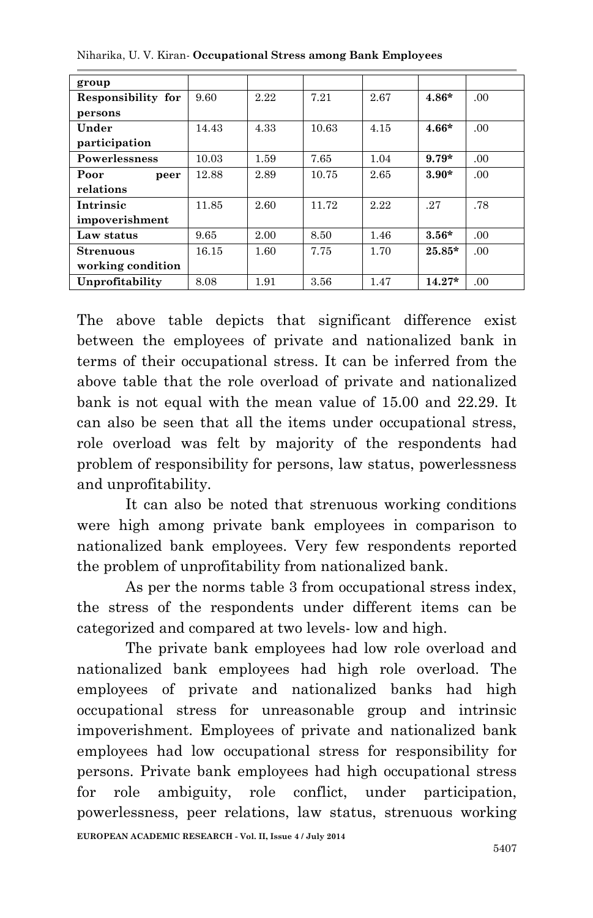| group                |       |      |       |      |          |      |
|----------------------|-------|------|-------|------|----------|------|
| Responsibility for   | 9.60  | 2.22 | 7.21  | 2.67 | $4.86*$  | .00  |
| persons              |       |      |       |      |          |      |
| Under                | 14.43 | 4.33 | 10.63 | 4.15 | $4.66*$  | .00  |
| participation        |       |      |       |      |          |      |
| <b>Powerlessness</b> | 10.03 | 1.59 | 7.65  | 1.04 | $9.79*$  | .00  |
| Poor<br>peer         | 12.88 | 2.89 | 10.75 | 2.65 | $3.90*$  | .00  |
| relations            |       |      |       |      |          |      |
| Intrinsic            | 11.85 | 2.60 | 11.72 | 2.22 | .27      | .78  |
| impoverishment       |       |      |       |      |          |      |
| Law status           | 9.65  | 2.00 | 8.50  | 1.46 | $3.56*$  | .00  |
| Strenuous            | 16.15 | 1.60 | 7.75  | 1.70 | $25.85*$ | .00. |
| working condition    |       |      |       |      |          |      |
| Unprofitability      | 8.08  | 1.91 | 3.56  | 1.47 | $14.27*$ | .00. |

Niharika, U. V. Kiran*-* **Occupational Stress among Bank Employees**

The above table depicts that significant difference exist between the employees of private and nationalized bank in terms of their occupational stress. It can be inferred from the above table that the role overload of private and nationalized bank is not equal with the mean value of 15.00 and 22.29. It can also be seen that all the items under occupational stress, role overload was felt by majority of the respondents had problem of responsibility for persons, law status, powerlessness and unprofitability.

It can also be noted that strenuous working conditions were high among private bank employees in comparison to nationalized bank employees. Very few respondents reported the problem of unprofitability from nationalized bank.

As per the norms table 3 from occupational stress index, the stress of the respondents under different items can be categorized and compared at two levels- low and high.

**EUROPEAN ACADEMIC RESEARCH - Vol. II, Issue 4 / July 2014** The private bank employees had low role overload and nationalized bank employees had high role overload. The employees of private and nationalized banks had high occupational stress for unreasonable group and intrinsic impoverishment. Employees of private and nationalized bank employees had low occupational stress for responsibility for persons. Private bank employees had high occupational stress for role ambiguity, role conflict, under participation, powerlessness, peer relations, law status, strenuous working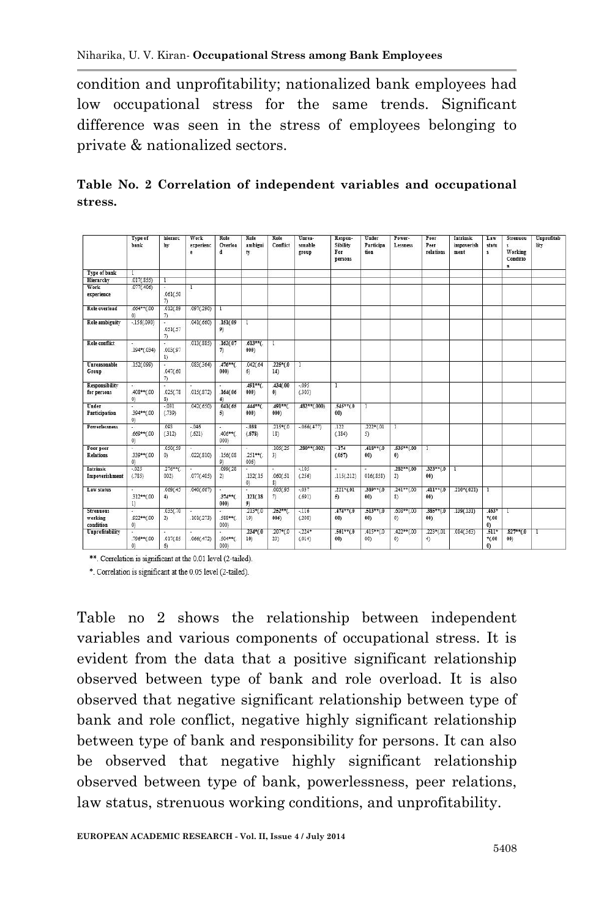condition and unprofitability; nationalized bank employees had low occupational stress for the same trends. Significant difference was seen in the stress of employees belonging to private & nationalized sectors.

|         |  |  |  | Table No. 2 Correlation of independent variables and occupational |
|---------|--|--|--|-------------------------------------------------------------------|
| stress. |  |  |  |                                                                   |

|                                          | Type of<br>bank                   | hierarc<br>hy              | Work<br>experienc<br>e | Role<br>Overloa<br>d     | Role<br>ambigui<br>ty         | Role<br>Conflict      | Unrea-<br>sonable<br>group    | Respon-<br>Sibility<br>For<br>persons | Under<br>Participa<br>tion | Power-<br>Lessness                   | Poor<br>Peer<br>relations | <b>Intrinsic</b><br>impoverish<br>ment | Law<br>statu<br>$\mathbf{S}$        | Strenuou<br>$\mathbf{r}$<br>Working<br>Conditio<br>$\mathbf{u}$ | Unprofitab<br>lity |
|------------------------------------------|-----------------------------------|----------------------------|------------------------|--------------------------|-------------------------------|-----------------------|-------------------------------|---------------------------------------|----------------------------|--------------------------------------|---------------------------|----------------------------------------|-------------------------------------|-----------------------------------------------------------------|--------------------|
| Type of bank                             |                                   |                            |                        |                          |                               |                       |                               |                                       |                            |                                      |                           |                                        |                                     |                                                                 |                    |
| Hierarchy                                | .017(.855)                        |                            |                        |                          |                               |                       |                               |                                       |                            |                                      |                           |                                        |                                     |                                                                 |                    |
| Work<br>experience                       | .077(.406)                        | .061(.50)<br>$\mathcal{D}$ | 1                      |                          |                               |                       |                               |                                       |                            |                                      |                           |                                        |                                     |                                                                 |                    |
| Role overload                            | $.664**$ (.00<br>$^{(0)}$         | .012(.89)<br>$\tau$        | .097(.290)             | 1                        |                               |                       |                               |                                       |                            |                                      |                           |                                        |                                     |                                                                 |                    |
| <b>Role ambiguity</b>                    | $-156(.090)$                      | .051(.57)<br>$\tau$        | .041(.660)             | .151(.09)<br>9)          |                               |                       |                               |                                       |                            |                                      |                           |                                        |                                     |                                                                 |                    |
| <b>Role</b> conflict                     | $.194*(.034)$                     | .003(.97)<br>1)            | .013(.885)             | .162(.07)<br>$\tau$      | $.613**$ <sub>(</sub><br>000) | 1                     |                               |                                       |                            |                                      |                           |                                        |                                     |                                                                 |                    |
| <b>Unreasonable</b><br>Group             | .152(.099)                        | .047(.60)<br>$\tau$        | .083(.364)             | $.476**$<br>000)         | .042(.64)<br>6)               | $.225*(.0)$<br>14)    | T                             |                                       |                            |                                      |                           |                                        |                                     |                                                                 |                    |
| <b>Responsibility</b><br>for persons     | ×.<br>$.408**$ $(.00$<br>$^{(0)}$ | .025(.78)<br>8)            | .015(.872)             | .164(.06)<br>4)          | $.491**$<br>000)              | 434(.00<br>$\theta$ ) | $-0.095$<br>(.303)            | T                                     |                            |                                      |                           |                                        |                                     |                                                                 |                    |
| Under<br>Participation                   | .394**(.00<br>$^{(0)}$            | $-0.031$<br>(.739)         | .042(.650)             | .041(.65)<br>5)          | $.444**$<br>000)              | $.491**$<br>000)      | $.482**(.000)$                | $.545**00$<br>00)                     | T                          |                                      |                           |                                        |                                     |                                                                 |                    |
| <b>Powerlessness</b>                     | $.669**0.00$<br>0)                | .093<br>(.312)             | $-0.046$<br>(.621)     | .406**(<br>000)          | $-0.38$<br>(.678)             | $.215*(.0)$<br>18)    | $-.066(.477)$                 | .122<br>(.184)                        | $.222*(.01)$<br>5)         | 1                                    |                           |                                        |                                     |                                                                 |                    |
| Poor peer<br><b>Relations</b>            | .339**(.00<br>$^{(0)}$            | .050(.59)<br>$\circ$       | .022(.810)             | .156(.08)<br>9)          | $.251**$ (<br>006)            | .105(.25)<br>3)       | $.280**$ (.002)               | $-174$<br>(.057)                      | $.418**0.0$<br>00)         | $.535**$ (.00<br>$\langle 0 \rangle$ | Τ                         |                                        |                                     |                                                                 |                    |
| Intrinsic<br>Impoverishment              | $-025$<br>(.785)                  | $.276**$ (.<br>002)        | .077(.405)             | .099(.28)<br>2)          | .132(.15)<br>$^{(1)}$         | .060(.51)<br>81       | $-105$<br>(.256)              | ٠<br>.115(.212)                       | 016(.858)                  | $.282**$ (.00<br>2)                  | $.323**$ (.0<br>00)       | T                                      |                                     |                                                                 |                    |
| Law status                               | .312** (.00<br>1)                 | .069(.45)<br>4)            | .040(.667)             | u<br>$.374**$ (<br>0001  | ٠<br>.121(.18)<br>9)          | .005(.95)<br>$\tau$   | $-037$<br>(.691)              | $.221*(.01)$<br>5)                    | $.389**(.0)$<br>00)        | $.241**(.00)$<br>8)                  | $.411**$ (.0<br>00)       | $.210*(.021)$                          | 1                                   |                                                                 |                    |
| <b>Strenuous</b><br>working<br>condition | .922**(.00<br>$^{(0)}$            | .035(.70<br>2)             | .101(.273)             | ٠<br>$.588**$ (<br>000)  | $.213*(.0)$<br>19)            | $.252**$ (<br>006)    | $-116$<br>(.208)              | $.474**$ (.0<br>00)                   | $.513**$ (.0<br>00)        | $.608**$ (.00<br>$^{(0)}$            | $.385**(.0)$<br>00)       | .139(.131)                             | $.463*$<br>$*(.00)$<br>0)           | 1                                                               |                    |
| Unprofitability                          | $.796**(.00$<br>$^{(1)}$          | .017(.85)<br>6)            | .066(.472)             | ٠<br>$.504**$ (.<br>0001 | $.234*(.0)$<br>10)            | $.207*(.0)$<br>23)    | $-224$ <sup>*</sup><br>(.014) | $.501**$ (.0<br>00)                   | $.415**$ $(0.015)$<br>00)  | .422**(.00<br>$^{(0)}$               | $.223*(.01)$<br>4)        | .084(.363)                             | $.511*$<br>$*(.00)$<br>$\mathbf{0}$ | $.827**$ (.0<br>00)                                             |                    |

\*\*. Correlation is significant at the 0.01 level (2-tailed).

\*. Correlation is significant at the 0.05 level (2-tailed).

Table no 2 shows the relationship between independent variables and various components of occupational stress. It is evident from the data that a positive significant relationship observed between type of bank and role overload. It is also observed that negative significant relationship between type of bank and role conflict, negative highly significant relationship between type of bank and responsibility for persons. It can also be observed that negative highly significant relationship observed between type of bank, powerlessness, peer relations, law status, strenuous working conditions, and unprofitability.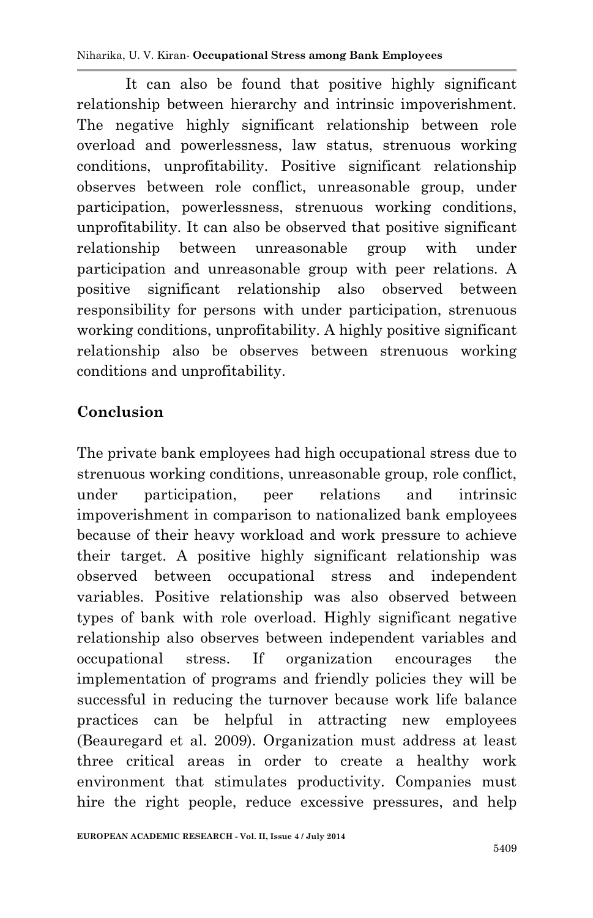It can also be found that positive highly significant relationship between hierarchy and intrinsic impoverishment. The negative highly significant relationship between role overload and powerlessness, law status, strenuous working conditions, unprofitability. Positive significant relationship observes between role conflict, unreasonable group, under participation, powerlessness, strenuous working conditions, unprofitability. It can also be observed that positive significant relationship between unreasonable group with under participation and unreasonable group with peer relations. A positive significant relationship also observed between responsibility for persons with under participation, strenuous working conditions, unprofitability. A highly positive significant relationship also be observes between strenuous working conditions and unprofitability.

# **Conclusion**

The private bank employees had high occupational stress due to strenuous working conditions, unreasonable group, role conflict, under participation, peer relations and intrinsic impoverishment in comparison to nationalized bank employees because of their heavy workload and work pressure to achieve their target. A positive highly significant relationship was observed between occupational stress and independent variables. Positive relationship was also observed between types of bank with role overload. Highly significant negative relationship also observes between independent variables and occupational stress. If organization encourages the implementation of programs and friendly policies they will be successful in reducing the turnover because work life balance practices can be helpful in attracting new employees (Beauregard et al. 2009). Organization must address at least three critical areas in order to create a healthy work environment that stimulates productivity. Companies must hire the right people, reduce excessive pressures, and help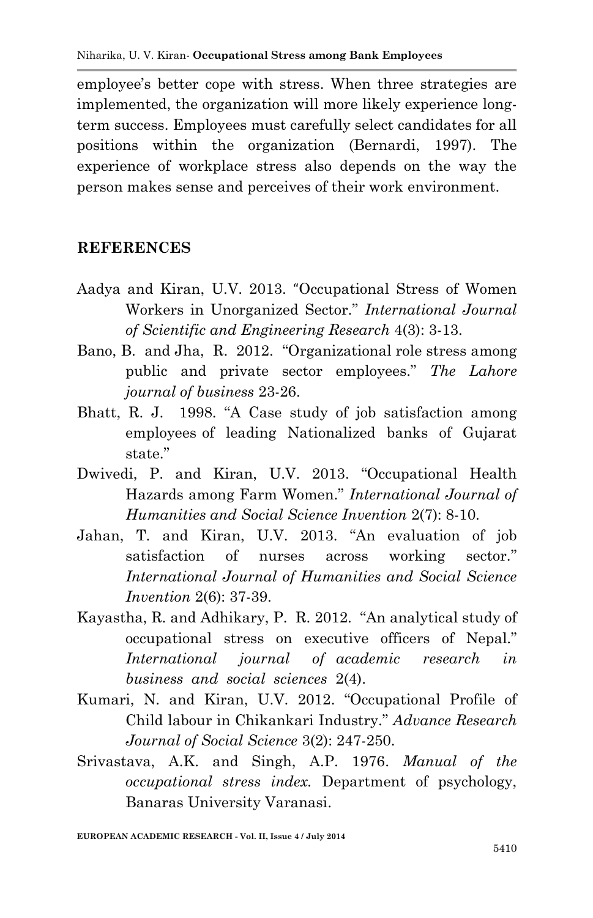employee's better cope with stress. When three strategies are implemented, the organization will more likely experience longterm success. Employees must carefully select candidates for all positions within the organization (Bernardi, 1997). The experience of workplace stress also depends on the way the person makes sense and perceives of their work environment.

#### **REFERENCES**

- Aadya and Kiran, U.V. 2013. "Occupational Stress of Women Workers in Unorganized Sector." *International Journal of Scientific and Engineering Research* 4(3): 3-13.
- Bano, B. and Jha, R. 2012. "Organizational role stress among public and private sector employees." *The Lahore journal of business* 23-26.
- Bhatt, R. J. 1998. "A Case study of job satisfaction among employees of leading Nationalized banks of Gujarat state"
- Dwivedi, P. and Kiran, U.V. 2013. "Occupational Health Hazards among Farm Women." *International Journal of Humanities and Social Science Invention* 2(7): 8-10.
- Jahan, T. and Kiran, U.V. 2013. "An evaluation of job satisfaction of nurses across working sector." *International Journal of Humanities and Social Science Invention* 2(6): 37-39.
- Kayastha, R. and Adhikary, P. R. 2012. "An analytical study of occupational stress on executive officers of Nepal." *International journal of academic research in business and social sciences* 2(4).
- Kumari, N. and Kiran, U.V. 2012. "Occupational Profile of Child labour in Chikankari Industry." *Advance Research Journal of Social Science* 3(2): 247-250.
- Srivastava, A.K. and Singh, A.P. 1976. *Manual of the occupational stress index.* Department of psychology, Banaras University Varanasi.